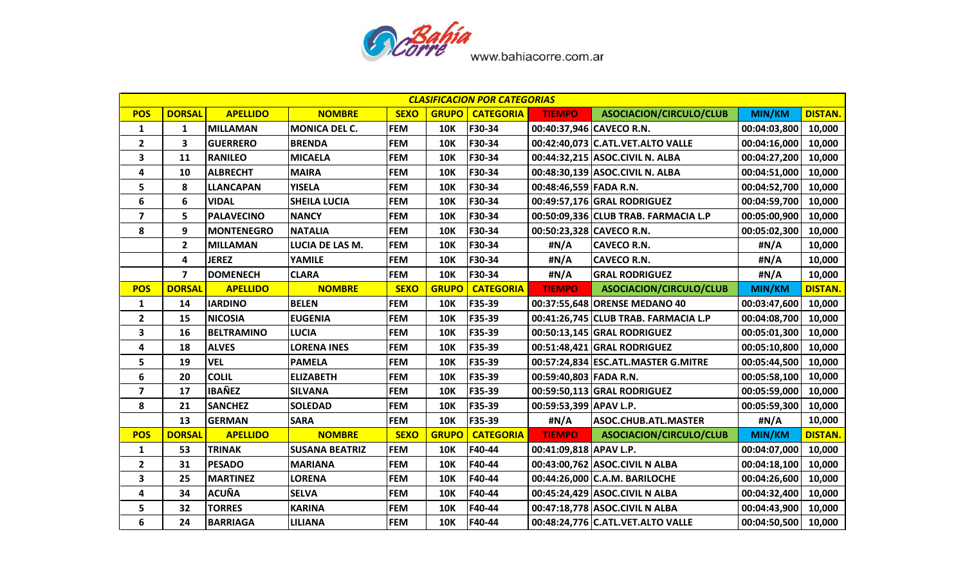

| <b>CLASIFICACION POR CATEGORIAS</b> |                         |                   |                       |             |              |                  |                          |                                      |               |                |  |
|-------------------------------------|-------------------------|-------------------|-----------------------|-------------|--------------|------------------|--------------------------|--------------------------------------|---------------|----------------|--|
| <b>POS</b>                          | <b>DORSAL</b>           | <b>APELLIDO</b>   | <b>NOMBRE</b>         | <b>SEXO</b> | <b>GRUPO</b> | <b>CATEGORIA</b> | <b>TIEMPO</b>            | ASOCIACION/CIRCULO/CLUB              | MIN/KM        | <b>DISTAN.</b> |  |
| $\mathbf{1}$                        | 1                       | <b>MILLAMAN</b>   | <b>MONICA DEL C.</b>  | <b>FEM</b>  | <b>10K</b>   | F30-34           | 00:40:37,946 CAVECO R.N. |                                      | 00:04:03,800  | 10,000         |  |
| $\overline{2}$                      | 3                       | <b>GUERRERO</b>   | <b>BRENDA</b>         | <b>FEM</b>  | <b>10K</b>   | F30-34           |                          | 00:42:40,073 C.ATL.VET.ALTO VALLE    | 00:04:16,000  | 10,000         |  |
| $\mathbf{3}$                        | 11                      | <b>RANILEO</b>    | <b>MICAELA</b>        | <b>FEM</b>  | <b>10K</b>   | F30-34           |                          | 00:44:32,215 ASOC.CIVIL N. ALBA      | 00:04:27,200  | 10,000         |  |
| 4                                   | 10                      | <b>ALBRECHT</b>   | <b>MAIRA</b>          | <b>FEM</b>  | <b>10K</b>   | F30-34           |                          | 00:48:30,139 ASOC.CIVIL N. ALBA      | 00:04:51,000  | 10,000         |  |
| 5                                   | 8                       | <b>LLANCAPAN</b>  | <b>YISELA</b>         | <b>FEM</b>  | <b>10K</b>   | F30-34           | 00:48:46,559 FADA R.N.   |                                      | 00:04:52,700  | 10,000         |  |
| 6                                   | 6                       | <b>VIDAL</b>      | <b>SHEILA LUCIA</b>   | <b>FEM</b>  | <b>10K</b>   | F30-34           |                          | 00:49:57,176 GRAL RODRIGUEZ          | 00:04:59,700  | 10,000         |  |
| $\overline{\mathbf{z}}$             | 5                       | <b>PALAVECINO</b> | <b>NANCY</b>          | <b>FEM</b>  | <b>10K</b>   | F30-34           |                          | 00:50:09,336 CLUB TRAB. FARMACIA L.P | 00:05:00,900  | 10,000         |  |
| 8                                   | 9                       | <b>MONTENEGRO</b> | <b>NATALIA</b>        | <b>FEM</b>  | <b>10K</b>   | F30-34           | 00:50:23,328 CAVECO R.N. |                                      | 00:05:02,300  | 10,000         |  |
|                                     | $\overline{2}$          | <b>MILLAMAN</b>   | LUCIA DE LAS M.       | <b>FEM</b>  | <b>10K</b>   | F30-34           | #N/A                     | <b>CAVECO R.N.</b>                   | #N/A          | 10,000         |  |
|                                     | 4                       | <b>JEREZ</b>      | YAMILE                | <b>FEM</b>  | <b>10K</b>   | F30-34           | #N/A                     | <b>CAVECO R.N.</b>                   | #N/A          | 10,000         |  |
|                                     | $\overline{\mathbf{z}}$ | <b>DOMENECH</b>   | <b>CLARA</b>          | <b>FEM</b>  | <b>10K</b>   | F30-34           | #N/A                     | <b>GRAL RODRIGUEZ</b>                | #N/A          | 10,000         |  |
| <b>POS</b>                          | <b>DORSAL</b>           | <b>APELLIDO</b>   | <b>NOMBRE</b>         | <b>SEXO</b> | <b>GRUPO</b> | <b>CATEGORIA</b> | <b>TIEMPO</b>            | ASOCIACION/CIRCULO/CLUB              | <b>MIN/KM</b> | <b>DISTAN.</b> |  |
| 1                                   | 14                      | <b>IARDINO</b>    | <b>BELEN</b>          | <b>FEM</b>  | <b>10K</b>   | F35-39           |                          | 00:37:55,648 ORENSE MEDANO 40        | 00:03:47,600  | 10,000         |  |
| $\overline{2}$                      | 15                      | <b>NICOSIA</b>    | <b>EUGENIA</b>        | <b>FEM</b>  | <b>10K</b>   | F35-39           |                          | 00:41:26,745 CLUB TRAB. FARMACIA L.P | 00:04:08,700  | 10,000         |  |
| $\mathbf{3}$                        | 16                      | <b>BELTRAMINO</b> | <b>LUCIA</b>          | <b>FEM</b>  | <b>10K</b>   | F35-39           |                          | 00:50:13,145 GRAL RODRIGUEZ          | 00:05:01,300  | 10,000         |  |
| 4                                   | 18                      | <b>ALVES</b>      | <b>LORENA INES</b>    | <b>FEM</b>  | <b>10K</b>   | F35-39           |                          | 00:51:48,421 GRAL RODRIGUEZ          | 00:05:10,800  | 10,000         |  |
| 5                                   | 19                      | <b>VEL</b>        | <b>PAMELA</b>         | <b>FEM</b>  | <b>10K</b>   | F35-39           |                          | 00:57:24,834 ESC.ATL.MASTER G.MITRE  | 00:05:44,500  | 10,000         |  |
| 6                                   | 20                      | <b>COLIL</b>      | <b>ELIZABETH</b>      | <b>FEM</b>  | <b>10K</b>   | F35-39           | 00:59:40,803 FADA R.N.   |                                      | 00:05:58,100  | 10,000         |  |
| $\overline{\mathbf{z}}$             | 17                      | <b>IBAÑEZ</b>     | <b>SILVANA</b>        | <b>FEM</b>  | <b>10K</b>   | F35-39           |                          | 00:59:50,113 GRAL RODRIGUEZ          | 00:05:59,000  | 10,000         |  |
| 8                                   | 21                      | <b>SANCHEZ</b>    | <b>SOLEDAD</b>        | <b>FEM</b>  | <b>10K</b>   | F35-39           | 00:59:53,399 APAV L.P.   |                                      | 00:05:59,300  | 10,000         |  |
|                                     | 13                      | <b>GERMAN</b>     | <b>SARA</b>           | <b>FEM</b>  | <b>10K</b>   | F35-39           | #N/A                     | <b>ASOC.CHUB.ATL.MASTER</b>          | #N/A          | 10,000         |  |
| <b>POS</b>                          | <b>DORSAL</b>           | <b>APELLIDO</b>   | <b>NOMBRE</b>         | <b>SEXO</b> | <b>GRUPO</b> | <b>CATEGORIA</b> | <b>TIEMPO</b>            | ASOCIACION/CIRCULO/CLUB              | <b>MIN/KM</b> | <b>DISTAN.</b> |  |
| 1                                   | 53                      | <b>TRINAK</b>     | <b>SUSANA BEATRIZ</b> | <b>FEM</b>  | <b>10K</b>   | F40-44           | 00:41:09,818 APAV L.P.   |                                      | 00:04:07,000  | 10,000         |  |
| $\overline{2}$                      | 31                      | <b>PESADO</b>     | <b>MARIANA</b>        | <b>FEM</b>  | <b>10K</b>   | F40-44           |                          | 00:43:00,762 ASOC.CIVIL N ALBA       | 00:04:18,100  | 10,000         |  |
| 3                                   | 25                      | <b>MARTINEZ</b>   | <b>LORENA</b>         | <b>FEM</b>  | <b>10K</b>   | F40-44           |                          | 00:44:26,000 C.A.M. BARILOCHE        | 00:04:26,600  | 10,000         |  |
| 4                                   | 34                      | <b>ACUÑA</b>      | <b>SELVA</b>          | <b>FEM</b>  | <b>10K</b>   | F40-44           |                          | 00:45:24,429 ASOC.CIVIL N ALBA       | 00:04:32,400  | 10,000         |  |
| 5                                   | 32                      | <b>TORRES</b>     | <b>KARINA</b>         | <b>FEM</b>  | <b>10K</b>   | F40-44           |                          | 00:47:18,778 ASOC.CIVIL N ALBA       | 00:04:43,900  | 10,000         |  |
| 6                                   | 24                      | <b>BARRIAGA</b>   | <b>LILIANA</b>        | <b>FEM</b>  | <b>10K</b>   | F40-44           |                          | 00:48:24,776 C.ATL.VET.ALTO VALLE    | 00:04:50,500  | 10,000         |  |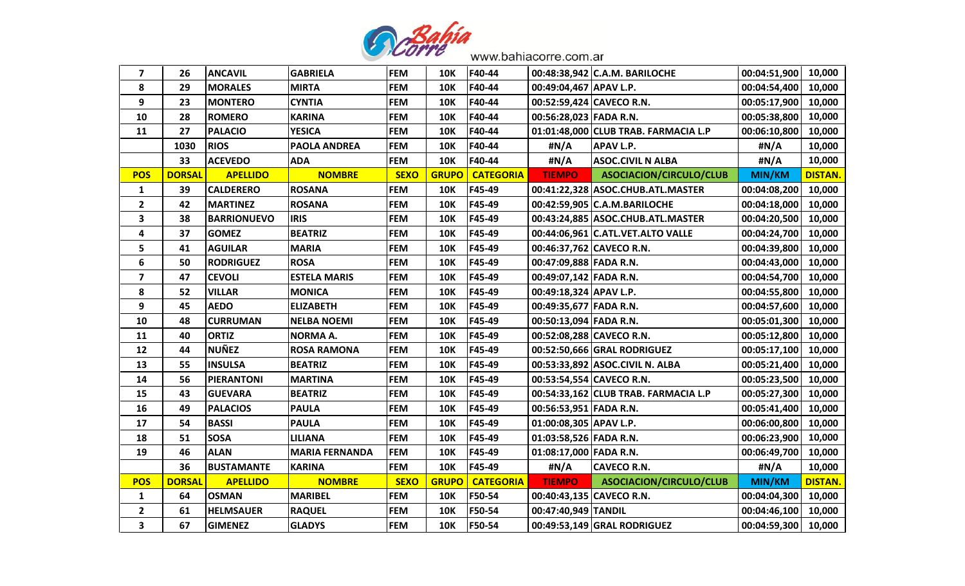

| 7                       | 26            | <b>ANCAVIL</b>     | <b>GABRIELA</b>       | <b>FEM</b>  | <b>10K</b>   | F40-44           |                        | 00:48:38,942 C.A.M. BARILOCHE        | 00:04:51,900 10,000   |                |
|-------------------------|---------------|--------------------|-----------------------|-------------|--------------|------------------|------------------------|--------------------------------------|-----------------------|----------------|
| 8                       | 29            | <b>MORALES</b>     | <b>MIRTA</b>          | <b>FEM</b>  | <b>10K</b>   | F40-44           | 00:49:04,467 APAV L.P. |                                      | 00:04:54,400          | 10,000         |
| 9                       | 23            | <b>MONTERO</b>     | <b>CYNTIA</b>         | <b>FEM</b>  | <b>10K</b>   | F40-44           |                        | 00:52:59,424 CAVECO R.N.             | 00:05:17,900 10,000   |                |
| 10                      | 28            | <b>ROMERO</b>      | <b>KARINA</b>         | <b>FEM</b>  | <b>10K</b>   | F40-44           | 00:56:28,023 FADA R.N. |                                      | 00:05:38,800          | 10,000         |
| 11                      | 27            | <b>PALACIO</b>     | <b>YESICA</b>         | <b>FEM</b>  | <b>10K</b>   | F40-44           |                        | 01:01:48,000 CLUB TRAB. FARMACIA L.P | 00:06:10,800          | 10,000         |
|                         | 1030          | <b>RIOS</b>        | <b>PAOLA ANDREA</b>   | <b>FEM</b>  | <b>10K</b>   | F40-44           | #N/A                   | <b>APAV L.P.</b>                     | #N/A                  | 10,000         |
|                         | 33            | <b>ACEVEDO</b>     | <b>ADA</b>            | <b>FEM</b>  | <b>10K</b>   | F40-44           | #N/A                   | <b>ASOC.CIVIL N ALBA</b>             | #N/A                  | 10,000         |
| <b>POS</b>              | <b>DORSAL</b> | <b>APELLIDO</b>    | <b>NOMBRE</b>         | <b>SEXO</b> | <b>GRUPO</b> | <b>CATEGORIA</b> | <b>TIEMPO</b>          | ASOCIACION/CIRCULO/CLUB              | <b>MIN/KM</b>         | <b>DISTAN.</b> |
| $\mathbf{1}$            | 39            | <b>CALDERERO</b>   | <b>ROSANA</b>         | <b>FEM</b>  | <b>10K</b>   | F45-49           |                        | 00:41:22,328 ASOC.CHUB.ATL.MASTER    | 00:04:08,200          | 10,000         |
| $\mathbf{2}$            | 42            | <b>MARTINEZ</b>    | <b>ROSANA</b>         | <b>FEM</b>  | <b>10K</b>   | F45-49           |                        | 00:42:59,905 C.A.M.BARILOCHE         | 00:04:18,000          | 10,000         |
| 3                       | 38            | <b>BARRIONUEVO</b> | <b>IRIS</b>           | <b>FEM</b>  | <b>10K</b>   | F45-49           |                        | 00:43:24,885 ASOC.CHUB.ATL.MASTER    | 00:04:20,500          | 10,000         |
| 4                       | 37            | <b>GOMEZ</b>       | <b>BEATRIZ</b>        | <b>FEM</b>  | <b>10K</b>   | F45-49           |                        | 00:44:06,961 C.ATL.VET.ALTO VALLE    | 00:04:24,700 10,000   |                |
| 5                       | 41            | <b>AGUILAR</b>     | <b>MARIA</b>          | <b>FEM</b>  | <b>10K</b>   | F45-49           |                        | 00:46:37,762 CAVECO R.N.             | 00:04:39,800          | 10,000         |
| 6                       | 50            | <b>RODRIGUEZ</b>   | <b>ROSA</b>           | <b>FEM</b>  | <b>10K</b>   | F45-49           | 00:47:09,888 FADA R.N. |                                      | 00:04:43,000          | 10,000         |
| $\overline{\mathbf{z}}$ | 47            | <b>CEVOLI</b>      | <b>ESTELA MARIS</b>   | <b>FEM</b>  | <b>10K</b>   | F45-49           | 00:49:07,142 FADA R.N. |                                      | 00:04:54,700          | 10,000         |
| 8                       | 52            | <b>VILLAR</b>      | <b>MONICA</b>         | <b>FEM</b>  | <b>10K</b>   | F45-49           | 00:49:18,324 APAV L.P. |                                      | 00:04:55,800          | 10,000         |
| 9                       | 45            | <b>AEDO</b>        | <b>ELIZABETH</b>      | <b>FEM</b>  | <b>10K</b>   | F45-49           | 00:49:35,677 FADA R.N. |                                      | 00:04:57,600          | 10,000         |
| 10                      | 48            | <b>CURRUMAN</b>    | <b>NELBA NOEMI</b>    | <b>FEM</b>  | <b>10K</b>   | F45-49           | 00:50:13,094 FADA R.N. |                                      | 00:05:01,300 10,000   |                |
| 11                      | 40            | <b>ORTIZ</b>       | <b>NORMA A.</b>       | <b>FEM</b>  | <b>10K</b>   | F45-49           |                        | 00:52:08,288 CAVECO R.N.             | 00:05:12,800 10,000   |                |
| 12                      | 44            | <b>NUÑEZ</b>       | <b>ROSA RAMONA</b>    | <b>FEM</b>  | <b>10K</b>   | F45-49           |                        | 00:52:50,666 GRAL RODRIGUEZ          | 00:05:17,100          | 10,000         |
| 13                      | 55            | <b>INSULSA</b>     | <b>BEATRIZ</b>        | <b>FEM</b>  | <b>10K</b>   | F45-49           |                        | 00:53:33,892 ASOC.CIVIL N. ALBA      | 00:05:21,400   10,000 |                |
| 14                      | 56            | <b>PIERANTONI</b>  | <b>MARTINA</b>        | <b>FEM</b>  | <b>10K</b>   | F45-49           |                        | 00:53:54,554 CAVECO R.N.             | 00:05:23,500          | 10,000         |
| 15                      | 43            | <b>GUEVARA</b>     | <b>BEATRIZ</b>        | <b>FEM</b>  | <b>10K</b>   | F45-49           |                        | 00:54:33,162 CLUB TRAB. FARMACIA L.P | 00:05:27,300          | 10,000         |
| 16                      | 49            | <b>PALACIOS</b>    | <b>PAULA</b>          | <b>FEM</b>  | <b>10K</b>   | F45-49           | 00:56:53,951 FADA R.N. |                                      | 00:05:41,400   10,000 |                |
| 17                      | 54            | <b>BASSI</b>       | <b>PAULA</b>          | <b>FEM</b>  | <b>10K</b>   | F45-49           | 01:00:08,305 APAV L.P. |                                      | 00:06:00,800          | 10,000         |
| 18                      | 51            | <b>SOSA</b>        | <b>LILIANA</b>        | <b>FEM</b>  | <b>10K</b>   | F45-49           | 01:03:58,526 FADA R.N. |                                      | 00:06:23,900          | 10,000         |
| 19                      | 46            | <b>ALAN</b>        | <b>MARIA FERNANDA</b> | <b>FEM</b>  | <b>10K</b>   | F45-49           | 01:08:17,000 FADA R.N. |                                      | 00:06:49,700          | 10,000         |
|                         | 36            | <b>BUSTAMANTE</b>  | <b>KARINA</b>         | <b>FEM</b>  | <b>10K</b>   | F45-49           | #N/A                   | <b>CAVECO R.N.</b>                   | #N/A                  | 10,000         |
| <b>POS</b>              | <b>DORSAL</b> | <b>APELLIDO</b>    | <b>NOMBRE</b>         | <b>SEXO</b> | <b>GRUPO</b> | <b>CATEGORIA</b> | <b>TIEMPO</b>          | ASOCIACION/CIRCULO/CLUB              | <b>MIN/KM</b>         | <b>DISTAN.</b> |
| $\mathbf{1}$            | 64            | <b>OSMAN</b>       | <b>MARIBEL</b>        | <b>FEM</b>  | <b>10K</b>   | F50-54           |                        | 00:40:43,135 CAVECO R.N.             | 00:04:04,300          | 10,000         |
| $\mathbf{2}$            | 61            | <b>HELMSAUER</b>   | <b>RAQUEL</b>         | <b>FEM</b>  | 10K          | F50-54           | 00:47:40,949 TANDIL    |                                      | 00:04:46,100          | 10,000         |
| 3                       | 67            | <b>GIMENEZ</b>     | <b>GLADYS</b>         | <b>FEM</b>  | <b>10K</b>   | F50-54           |                        | 00:49:53,149 GRAL RODRIGUEZ          | 00:04:59,300 10,000   |                |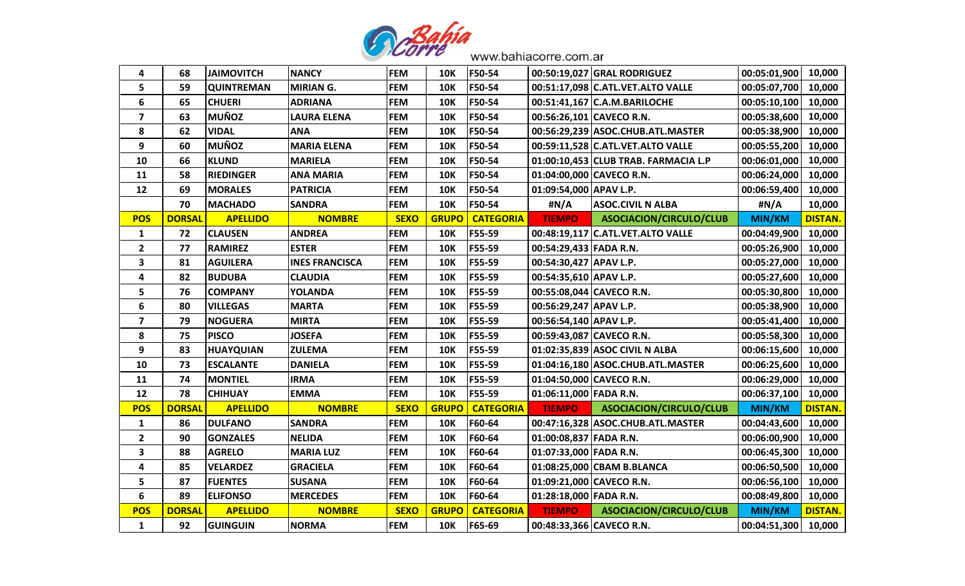

| 4                       | 68            | <b>JAIMOVITCH</b> | <b>NANCY</b>          | <b>FEM</b>  | <b>10K</b>   | F50-54           |                          | 00:50:19,027 GRAL RODRIGUEZ          | 00:05:01,900 | 10,000         |
|-------------------------|---------------|-------------------|-----------------------|-------------|--------------|------------------|--------------------------|--------------------------------------|--------------|----------------|
| 5                       | 59            | <b>QUINTREMAN</b> | <b>MIRIAN G.</b>      | <b>FEM</b>  | <b>10K</b>   | F50-54           |                          | 00:51:17,098 C.ATL.VET.ALTO VALLE    | 00:05:07,700 | 10,000         |
| 6                       | 65            | <b>CHUERI</b>     | <b>ADRIANA</b>        | <b>FEM</b>  | <b>10K</b>   | F50-54           |                          | 00:51:41,167 C.A.M.BARILOCHE         | 00:05:10,100 | 10,000         |
| $\overline{\mathbf{z}}$ | 63            | <b>MUÑOZ</b>      | <b>LAURA ELENA</b>    | <b>FEM</b>  | <b>10K</b>   | F50-54           |                          | 00:56:26,101 CAVECO R.N.             | 00:05:38,600 | 10,000         |
| 8                       | 62            | <b>VIDAL</b>      | <b>ANA</b>            | <b>FEM</b>  | <b>10K</b>   | F50-54           |                          | 00:56:29,239 ASOC.CHUB.ATL.MASTER    | 00:05:38,900 | 10,000         |
| 9                       | 60            | <b>MUÑOZ</b>      | <b>MARIA ELENA</b>    | <b>FEM</b>  | <b>10K</b>   | F50-54           |                          | 00:59:11,528 C.ATL.VET.ALTO VALLE    | 00:05:55,200 | 10,000         |
| 10                      | 66            | <b>KLUND</b>      | <b>MARIELA</b>        | <b>FEM</b>  | <b>10K</b>   | F50-54           |                          | 01:00:10,453 CLUB TRAB. FARMACIA L.P | 00:06:01,000 | 10,000         |
| 11                      | 58            | <b>RIEDINGER</b>  | <b>ANA MARIA</b>      | <b>FEM</b>  | <b>10K</b>   | F50-54           |                          | 01:04:00,000 CAVECO R.N.             | 00:06:24,000 | 10,000         |
| 12                      | 69            | <b>MORALES</b>    | <b>PATRICIA</b>       | <b>FEM</b>  | <b>10K</b>   | F50-54           | 01:09:54,000 APAV L.P.   |                                      | 00:06:59,400 | 10,000         |
|                         | 70            | <b>MACHADO</b>    | <b>SANDRA</b>         | <b>FEM</b>  | <b>10K</b>   | F50-54           | #N/A                     | <b>ASOC.CIVIL N ALBA</b>             | #N/A         | 10,000         |
| <b>POS</b>              | <b>DORSAL</b> | <b>APELLIDO</b>   | <b>NOMBRE</b>         | <b>SEXO</b> | <b>GRUPO</b> | <b>CATEGORIA</b> | <b>TIEMPO</b>            | ASOCIACION/CIRCULO/CLUB              | MIN/KM       | <b>DISTAN.</b> |
| $\mathbf{1}$            | 72            | <b>CLAUSEN</b>    | <b>ANDREA</b>         | <b>FEM</b>  | <b>10K</b>   | F55-59           |                          | 00:48:19,117 C.ATL.VET.ALTO VALLE    | 00:04:49,900 | 10,000         |
| $\overline{\mathbf{2}}$ | 77            | <b>RAMIREZ</b>    | <b>ESTER</b>          | <b>FEM</b>  | <b>10K</b>   | F55-59           | 00:54:29,433 FADA R.N.   |                                      | 00:05:26,900 | 10,000         |
| $\overline{\mathbf{3}}$ | 81            | <b>AGUILERA</b>   | <b>INES FRANCISCA</b> | <b>FEM</b>  | <b>10K</b>   | F55-59           | 00:54:30,427 APAV L.P.   |                                      | 00:05:27,000 | 10,000         |
| 4                       | 82            | <b>BUDUBA</b>     | <b>CLAUDIA</b>        | <b>FEM</b>  | <b>10K</b>   | F55-59           | 00:54:35,610 APAV L.P.   |                                      | 00:05:27,600 | 10,000         |
| 5                       | 76            | <b>COMPANY</b>    | <b>YOLANDA</b>        | <b>FEM</b>  | <b>10K</b>   | F55-59           |                          | 00:55:08,044 CAVECO R.N.             | 00:05:30,800 | 10,000         |
| 6                       | 80            | <b>VILLEGAS</b>   | <b>MARTA</b>          | <b>FEM</b>  | <b>10K</b>   | F55-59           | 00:56:29,247 APAV L.P.   |                                      | 00:05:38,900 | 10,000         |
| $\overline{\mathbf{z}}$ | 79            | <b>NOGUERA</b>    | <b>MIRTA</b>          | <b>FEM</b>  | <b>10K</b>   | F55-59           | 00:56:54,140 APAV L.P.   |                                      | 00:05:41,400 | 10,000         |
| 8                       | 75            | <b>PISCO</b>      | <b>JOSEFA</b>         | <b>FEM</b>  | <b>10K</b>   | F55-59           |                          | 00:59:43,087 CAVECO R.N.             | 00:05:58,300 | 10,000         |
| 9                       | 83            | <b>HUAYQUIAN</b>  | <b>ZULEMA</b>         | <b>FEM</b>  | <b>10K</b>   | F55-59           |                          | 01:02:35,839 ASOC CIVIL N ALBA       | 00:06:15,600 | 10,000         |
| 10                      | 73            | <b>ESCALANTE</b>  | <b>DANIELA</b>        | <b>FEM</b>  | <b>10K</b>   | F55-59           |                          | 01:04:16,180 ASOC.CHUB.ATL.MASTER    | 00:06:25,600 | 10,000         |
| 11                      | 74            | <b>MONTIEL</b>    | <b>IRMA</b>           | <b>FEM</b>  | <b>10K</b>   | F55-59           |                          | 01:04:50,000 CAVECO R.N.             | 00:06:29,000 | 10,000         |
| 12                      | 78            | <b>CHIHUAY</b>    | <b>EMMA</b>           | <b>FEM</b>  | <b>10K</b>   | F55-59           | 01:06:11,000 FADA R.N.   |                                      | 00:06:37,100 | 10,000         |
| <b>POS</b>              | <b>DORSAL</b> | <b>APELLIDO</b>   | <b>NOMBRE</b>         | <b>SEXO</b> | <b>GRUPO</b> | <b>CATEGORIA</b> | <b>TIEMPO</b>            | ASOCIACION/CIRCULO/CLUB              | MIN/KM       | <b>DISTAN.</b> |
| $\mathbf{1}$            | 86            | <b>DULFANO</b>    | <b>SANDRA</b>         | <b>FEM</b>  | <b>10K</b>   | F60-64           |                          | 00:47:16,328 ASOC.CHUB.ATL.MASTER    | 00:04:43,600 | 10,000         |
| $\overline{2}$          | 90            | <b>GONZALES</b>   | <b>NELIDA</b>         | <b>FEM</b>  | <b>10K</b>   | F60-64           | 01:00:08,837 FADA R.N.   |                                      | 00:06:00,900 | 10,000         |
| $\overline{\mathbf{3}}$ | 88            | <b>AGRELO</b>     | <b>MARIA LUZ</b>      | <b>FEM</b>  | <b>10K</b>   | F60-64           | 01:07:33,000 FADA R.N.   |                                      | 00:06:45,300 | 10,000         |
| 4                       | 85            | <b>VELARDEZ</b>   | <b>GRACIELA</b>       | <b>FEM</b>  | <b>10K</b>   | F60-64           |                          | 01:08:25,000 CBAM B.BLANCA           | 00:06:50,500 | 10,000         |
| 5                       | 87            | <b>FUENTES</b>    | <b>SUSANA</b>         | <b>FEM</b>  | <b>10K</b>   | F60-64           |                          | 01:09:21,000 CAVECO R.N.             | 00:06:56,100 | 10,000         |
| 6                       | 89            | <b>ELIFONSO</b>   | <b>MERCEDES</b>       | <b>FEM</b>  | <b>10K</b>   | F60-64           | 01:28:18,000 FADA R.N.   |                                      | 00:08:49,800 | 10,000         |
| <b>POS</b>              | <b>DORSAL</b> | <b>APELLIDO</b>   | <b>NOMBRE</b>         | <b>SEXO</b> | <b>GRUPO</b> | <b>CATEGORIA</b> | <b>TIEMPO</b>            | ASOCIACION/CIRCULO/CLUB              | MIN/KM       | <b>DISTAN.</b> |
| $\mathbf{1}$            | 92            | GUINGUIN          | <b>NORMA</b>          | <b>FEM</b>  | <b>10K</b>   | F65-69           | 00:48:33,366 CAVECO R.N. |                                      | 00:04:51,300 | 10,000         |
|                         |               |                   |                       |             |              |                  |                          |                                      |              |                |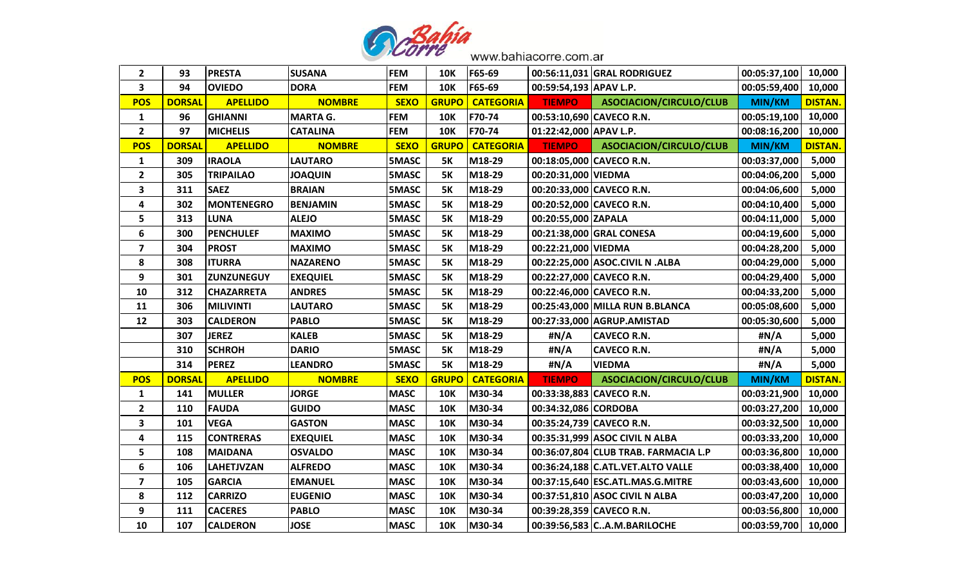

| $\mathbf{2}$            | 93            | <b>PRESTA</b>     | <b>SUSANA</b>   | <b>FEM</b>   | <b>10K</b>   | F65-69           |                          | 00:56:11,031 GRAL RODRIGUEZ          | 00:05:37,100        | 10,000         |
|-------------------------|---------------|-------------------|-----------------|--------------|--------------|------------------|--------------------------|--------------------------------------|---------------------|----------------|
| $\mathbf{3}$            | 94            | <b>OVIEDO</b>     | <b>DORA</b>     | <b>FEM</b>   | <b>10K</b>   | F65-69           | 00:59:54,193 APAV L.P.   |                                      | 00:05:59,400        | 10,000         |
| <b>POS</b>              | <b>DORSAL</b> | <b>APELLIDO</b>   | <b>NOMBRE</b>   | <b>SEXO</b>  | <b>GRUPO</b> | <b>CATEGORIA</b> | <b>TIEMPO</b>            | ASOCIACION/CIRCULO/CLUB              | MIN/KM              | <b>DISTAN.</b> |
| $\mathbf{1}$            | 96            | <b>GHIANNI</b>    | <b>MARTA G.</b> | <b>FEM</b>   | <b>10K</b>   | F70-74           |                          | 00:53:10,690 CAVECO R.N.             | 00:05:19,100        | 10,000         |
| $\overline{2}$          | 97            | <b>MICHELIS</b>   | <b>CATALINA</b> | <b>FEM</b>   | <b>10K</b>   | F70-74           | 01:22:42,000 APAV L.P.   |                                      | 00:08:16,200        | 10,000         |
| <b>POS</b>              | <b>DORSAL</b> | <b>APELLIDO</b>   | <b>NOMBRE</b>   | <b>SEXO</b>  | <b>GRUPO</b> | <b>CATEGORIA</b> | <b>TIEMPO</b>            | ASOCIACION/CIRCULO/CLUB              | MIN/KM              | <b>DISTAN.</b> |
| $\mathbf{1}$            | 309           | <b>IRAOLA</b>     | <b>LAUTARO</b>  | 5MASC        | <b>5K</b>    | M18-29           | 00:18:05,000 CAVECO R.N. |                                      | 00:03:37,000        | 5,000          |
| $\overline{2}$          | 305           | <b>TRIPAILAO</b>  | <b>JOAQUIN</b>  | 5MASC        | <b>5K</b>    | M18-29           | 00:20:31,000 VIEDMA      |                                      | 00:04:06,200        | 5,000          |
| 3                       | 311           | <b>SAEZ</b>       | <b>BRAIAN</b>   | 5MASC        | <b>5K</b>    | M18-29           | 00:20:33,000 CAVECO R.N. |                                      | 00:04:06,600        | 5,000          |
| 4                       | 302           | <b>MONTENEGRO</b> | <b>BENJAMIN</b> | 5MASC        | <b>5K</b>    | M18-29           |                          | 00:20:52,000 CAVECO R.N.             | 00:04:10,400        | 5,000          |
| 5                       | 313           | <b>LUNA</b>       | <b>ALEJO</b>    | 5MASC        | <b>5K</b>    | M18-29           | 00:20:55,000 ZAPALA      |                                      | 00:04:11,000        | 5,000          |
| 6                       | 300           | <b>PENCHULEF</b>  | <b>MAXIMO</b>   | 5MASC        | <b>5K</b>    | M18-29           |                          | 00:21:38,000 GRAL CONESA             | 00:04:19,600        | 5,000          |
| $\overline{\mathbf{z}}$ | 304           | <b>PROST</b>      | <b>MAXIMO</b>   | 5MASC        | <b>5K</b>    | M18-29           | 00:22:21,000 VIEDMA      |                                      | 00:04:28,200        | 5,000          |
| 8                       | 308           | <b>ITURRA</b>     | <b>NAZARENO</b> | 5MASC        | <b>5K</b>    | M18-29           |                          | 00:22:25,000 ASOC.CIVIL N .ALBA      | 00:04:29,000        | 5,000          |
| 9                       | 301           | <b>ZUNZUNEGUY</b> | <b>EXEQUIEL</b> | 5MASC        | <b>5K</b>    | M18-29           | 00:22:27,000 CAVECO R.N. |                                      | 00:04:29,400        | 5,000          |
| 10                      | 312           | <b>CHAZARRETA</b> | <b>ANDRES</b>   | <b>5MASC</b> | <b>5K</b>    | M18-29           |                          | 00:22:46,000 CAVECO R.N.             | 00:04:33,200        | 5,000          |
| 11                      | 306           | <b>MILIVINTI</b>  | <b>LAUTARO</b>  | 5MASC        | <b>5K</b>    | M18-29           |                          | 00:25:43,000 MILLA RUN B.BLANCA      | 00:05:08,600        | 5,000          |
| 12                      | 303           | <b>CALDERON</b>   | <b>PABLO</b>    | 5MASC        | <b>5K</b>    | M18-29           |                          | 00:27:33,000 AGRUP.AMISTAD           | 00:05:30,600        | 5,000          |
|                         | 307           | <b>JEREZ</b>      | <b>KALEB</b>    | 5MASC        | <b>5K</b>    | M18-29           | #N/A                     | <b>CAVECO R.N.</b>                   | #N/A                | 5,000          |
|                         | 310           | <b>SCHROH</b>     | <b>DARIO</b>    | 5MASC        | <b>5K</b>    | M18-29           | #N/A                     | <b>CAVECO R.N.</b>                   | #N/A                | 5,000          |
|                         | 314           | <b>PEREZ</b>      | <b>LEANDRO</b>  | 5MASC        | <b>5K</b>    | M18-29           | #N/A                     | <b>VIEDMA</b>                        | #N/A                | 5,000          |
| <b>POS</b>              | <b>DORSAL</b> | <b>APELLIDO</b>   | <b>NOMBRE</b>   | <b>SEXO</b>  | <b>GRUPO</b> | <b>CATEGORIA</b> | <b>TIEMPO</b>            | ASOCIACION/CIRCULO/CLUB              | MIN/KM              | <b>DISTAN.</b> |
| $\mathbf{1}$            | 141           | <b>MULLER</b>     | <b>JORGE</b>    | <b>MASC</b>  | <b>10K</b>   | M30-34           | 00:33:38,883 CAVECO R.N. |                                      | 00:03:21,900        | 10,000         |
| $\overline{2}$          | 110           | <b>FAUDA</b>      | <b>GUIDO</b>    | <b>MASC</b>  | <b>10K</b>   | M30-34           | 00:34:32,086 CORDOBA     |                                      | 00:03:27,200        | 10,000         |
| 3                       | 101           | <b>VEGA</b>       | <b>GASTON</b>   | <b>MASC</b>  | <b>10K</b>   | M30-34           |                          | 00:35:24,739 CAVECO R.N.             | 00:03:32,500        | 10,000         |
| $\overline{\mathbf{4}}$ | 115           | <b>CONTRERAS</b>  | <b>EXEQUIEL</b> | <b>MASC</b>  | <b>10K</b>   | M30-34           |                          | 00:35:31,999 ASOC CIVIL N ALBA       | 00:03:33,200        | 10,000         |
| 5                       | 108           | <b>MAIDANA</b>    | <b>OSVALDO</b>  | <b>MASC</b>  | <b>10K</b>   | M30-34           |                          | 00:36:07,804 CLUB TRAB. FARMACIA L.P | 00:03:36,800        | 10,000         |
| 6                       | 106           | <b>LAHETJVZAN</b> | <b>ALFREDO</b>  | <b>MASC</b>  | <b>10K</b>   | M30-34           |                          | 00:36:24,188 C.ATL.VET.ALTO VALLE    | 00:03:38,400        | 10,000         |
| $\overline{\mathbf{z}}$ | 105           | <b>GARCIA</b>     | <b>EMANUEL</b>  | <b>MASC</b>  | <b>10K</b>   | M30-34           |                          | 00:37:15,640 ESC.ATL.MAS.G.MITRE     | 00:03:43,600        | 10,000         |
| 8                       | 112           | <b>CARRIZO</b>    | <b>EUGENIO</b>  | <b>MASC</b>  | <b>10K</b>   | M30-34           |                          | 00:37:51,810 ASOC CIVIL N ALBA       | 00:03:47,200        | 10,000         |
| 9                       | 111           | <b>CACERES</b>    | <b>PABLO</b>    | <b>MASC</b>  | <b>10K</b>   | M30-34           | 00:39:28,359 CAVECO R.N. |                                      | 00:03:56,800        | 10,000         |
| 10                      | 107           | <b>CALDERON</b>   | <b>JOSE</b>     | <b>MASC</b>  | <b>10K</b>   | M30-34           |                          | 00:39:56,583 CA.M.BARILOCHE          | 00:03:59,700 10,000 |                |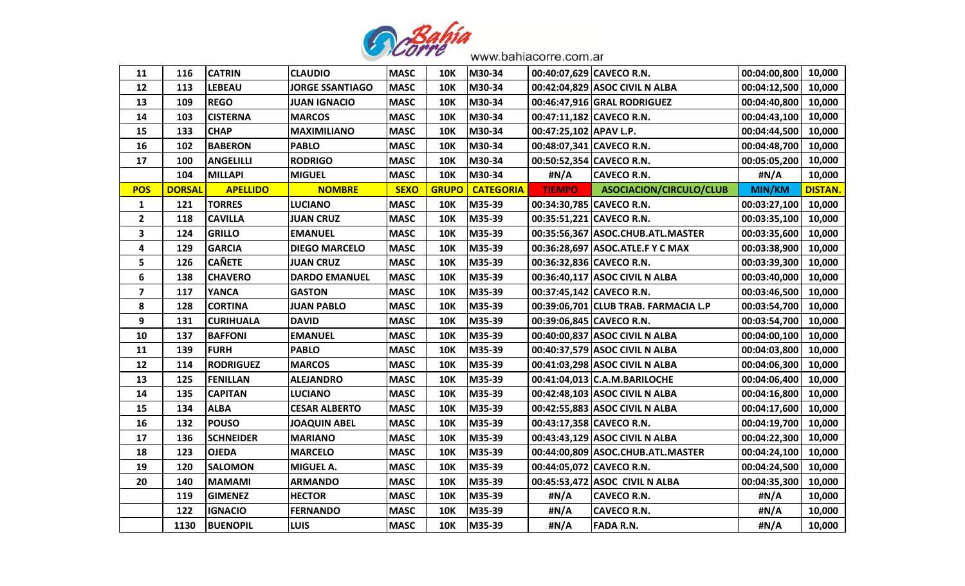

| 11                      | 116           | <b>CATRIN</b>    | <b>CLAUDIO</b>         | <b>MASC</b> | <b>10K</b>   | M30-34           |                        | 00:40:07,629 CAVECO R.N.             | 00:04:00,800 | 10,000         |
|-------------------------|---------------|------------------|------------------------|-------------|--------------|------------------|------------------------|--------------------------------------|--------------|----------------|
| 12                      | 113           | <b>LEBEAU</b>    | <b>JORGE SSANTIAGO</b> | <b>MASC</b> | <b>10K</b>   | M30-34           |                        | 00:42:04,829 ASOC CIVIL N ALBA       | 00:04:12,500 | 10,000         |
| 13                      | 109           | <b>REGO</b>      | <b>JUAN IGNACIO</b>    | <b>MASC</b> | <b>10K</b>   | M30-34           |                        | 00:46:47,916 GRAL RODRIGUEZ          | 00:04:40,800 | 10,000         |
| 14                      | 103           | <b>CISTERNA</b>  | <b>MARCOS</b>          | <b>MASC</b> | <b>10K</b>   | M30-34           |                        | 00:47:11,182 CAVECO R.N.             | 00:04:43,100 | 10,000         |
| 15                      | 133           | <b>CHAP</b>      | <b>MAXIMILIANO</b>     | <b>MASC</b> | <b>10K</b>   | M30-34           | 00:47:25,102 APAV L.P. |                                      | 00:04:44,500 | 10,000         |
| 16                      | 102           | <b>BABERON</b>   | <b>PABLO</b>           | <b>MASC</b> | <b>10K</b>   | M30-34           |                        | 00:48:07,341 CAVECO R.N.             | 00:04:48,700 | 10,000         |
| 17                      | 100           | <b>ANGELILLI</b> | <b>RODRIGO</b>         | <b>MASC</b> | <b>10K</b>   | M30-34           |                        | 00:50:52,354 CAVECO R.N.             | 00:05:05,200 | 10,000         |
|                         | 104           | <b>MILLAPI</b>   | <b>MIGUEL</b>          | <b>MASC</b> | <b>10K</b>   | M30-34           | #N/A                   | <b>CAVECO R.N.</b>                   | #N/A         | 10,000         |
| <b>POS</b>              | <b>DORSAL</b> | <b>APELLIDO</b>  | <b>NOMBRE</b>          | <b>SEXO</b> | <b>GRUPO</b> | <b>CATEGORIA</b> | <b>TIEMPO</b>          | ASOCIACION/CIRCULO/CLUB              | MIN/KM       | <b>DISTAN.</b> |
| $\mathbf{1}$            | 121           | <b>TORRES</b>    | <b>LUCIANO</b>         | <b>MASC</b> | <b>10K</b>   | M35-39           |                        | 00:34:30,785 CAVECO R.N.             | 00:03:27,100 | 10,000         |
| $\overline{2}$          | 118           | <b>CAVILLA</b>   | <b>JUAN CRUZ</b>       | <b>MASC</b> | <b>10K</b>   | M35-39           |                        | 00:35:51,221 CAVECO R.N.             | 00:03:35,100 | 10,000         |
| 3                       | 124           | <b>GRILLO</b>    | <b>EMANUEL</b>         | <b>MASC</b> | <b>10K</b>   | M35-39           |                        | 00:35:56,367 ASOC.CHUB.ATL.MASTER    | 00:03:35,600 | 10,000         |
| 4                       | 129           | <b>GARCIA</b>    | <b>DIEGO MARCELO</b>   | <b>MASC</b> | <b>10K</b>   | M35-39           |                        | 00:36:28,697   ASOC. ATLE. F Y C MAX | 00:03:38,900 | 10,000         |
| 5                       | 126           | <b>CAÑETE</b>    | <b>JUAN CRUZ</b>       | <b>MASC</b> | <b>10K</b>   | M35-39           |                        | 00:36:32,836 CAVECO R.N.             | 00:03:39,300 | 10,000         |
| $\boldsymbol{6}$        | 138           | <b>CHAVERO</b>   | <b>DARDO EMANUEL</b>   | <b>MASC</b> | <b>10K</b>   | M35-39           |                        | 00:36:40,117 ASOC CIVIL N ALBA       | 00:03:40,000 | 10,000         |
| $\overline{\mathbf{z}}$ | 117           | <b>YANCA</b>     | <b>GASTON</b>          | <b>MASC</b> | <b>10K</b>   | M35-39           |                        | 00:37:45,142 CAVECO R.N.             | 00:03:46,500 | 10,000         |
| 8                       | 128           | <b>CORTINA</b>   | <b>JUAN PABLO</b>      | <b>MASC</b> | <b>10K</b>   | M35-39           |                        | 00:39:06,701 CLUB TRAB. FARMACIA L.P | 00:03:54,700 | 10,000         |
| 9                       | 131           | <b>CURIHUALA</b> | <b>DAVID</b>           | <b>MASC</b> | <b>10K</b>   | M35-39           |                        | 00:39:06,845 CAVECO R.N.             | 00:03:54,700 | 10,000         |
| 10                      | 137           | <b>BAFFONI</b>   | <b>EMANUEL</b>         | <b>MASC</b> | <b>10K</b>   | M35-39           |                        | 00:40:00,837 ASOC CIVIL N ALBA       | 00:04:00,100 | 10,000         |
| 11                      | 139           | <b>FURH</b>      | <b>PABLO</b>           | <b>MASC</b> | <b>10K</b>   | M35-39           |                        | 00:40:37,579 ASOC CIVIL N ALBA       | 00:04:03,800 | 10,000         |
| 12                      | 114           | <b>RODRIGUEZ</b> | <b>MARCOS</b>          | <b>MASC</b> | <b>10K</b>   | M35-39           |                        | 00:41:03,298 ASOC CIVIL N ALBA       | 00:04:06,300 | 10,000         |
| 13                      | 125           | <b>FENILLAN</b>  | <b>ALEJANDRO</b>       | <b>MASC</b> | <b>10K</b>   | M35-39           |                        | 00:41:04,013 C.A.M.BARILOCHE         | 00:04:06,400 | 10,000         |
| 14                      | 135           | <b>CAPITAN</b>   | <b>LUCIANO</b>         | <b>MASC</b> | <b>10K</b>   | M35-39           |                        | 00:42:48,103 ASOC CIVIL N ALBA       | 00:04:16,800 | 10,000         |
| 15                      | 134           | <b>ALBA</b>      | <b>CESAR ALBERTO</b>   | <b>MASC</b> | <b>10K</b>   | M35-39           |                        | 00:42:55,883 ASOC CIVIL N ALBA       | 00:04:17,600 | 10,000         |
| 16                      | 132           | <b>POUSO</b>     | <b>JOAQUIN ABEL</b>    | <b>MASC</b> | <b>10K</b>   | M35-39           |                        | 00:43:17,358 CAVECO R.N.             | 00:04:19,700 | 10,000         |
| 17                      | 136           | <b>SCHNEIDER</b> | <b>MARIANO</b>         | <b>MASC</b> | <b>10K</b>   | M35-39           |                        | 00:43:43,129 ASOC CIVIL N ALBA       | 00:04:22,300 | 10,000         |
| 18                      | 123           | <b>OJEDA</b>     | <b>MARCELO</b>         | <b>MASC</b> | <b>10K</b>   | M35-39           |                        | 00:44:00,809 ASOC.CHUB.ATL.MASTER    | 00:04:24,100 | 10,000         |
| 19                      | 120           | <b>SALOMON</b>   | MIGUEL A.              | <b>MASC</b> | <b>10K</b>   | M35-39           |                        | 00:44:05,072 CAVECO R.N.             | 00:04:24,500 | 10,000         |
| 20                      | 140           | <b>MAMAMI</b>    | <b>ARMANDO</b>         | <b>MASC</b> | <b>10K</b>   | M35-39           |                        | 00:45:53,472 ASOC CIVIL N ALBA       | 00:04:35,300 | 10,000         |
|                         | 119           | <b>GIMENEZ</b>   | <b>HECTOR</b>          | <b>MASC</b> | <b>10K</b>   | M35-39           | #N/A                   | <b>CAVECO R.N.</b>                   | #N/A         | 10,000         |
|                         | 122           | <b>IGNACIO</b>   | <b>FERNANDO</b>        | <b>MASC</b> | <b>10K</b>   | M35-39           | #N/A                   | <b>CAVECO R.N.</b>                   | #N/A         | 10,000         |
|                         | 1130          | <b>BUENOPIL</b>  | <b>LUIS</b>            | <b>MASC</b> | <b>10K</b>   | M35-39           | #N/A                   | <b>FADA R.N.</b>                     | #N/A         | 10,000         |
|                         |               |                  |                        |             |              |                  |                        |                                      |              |                |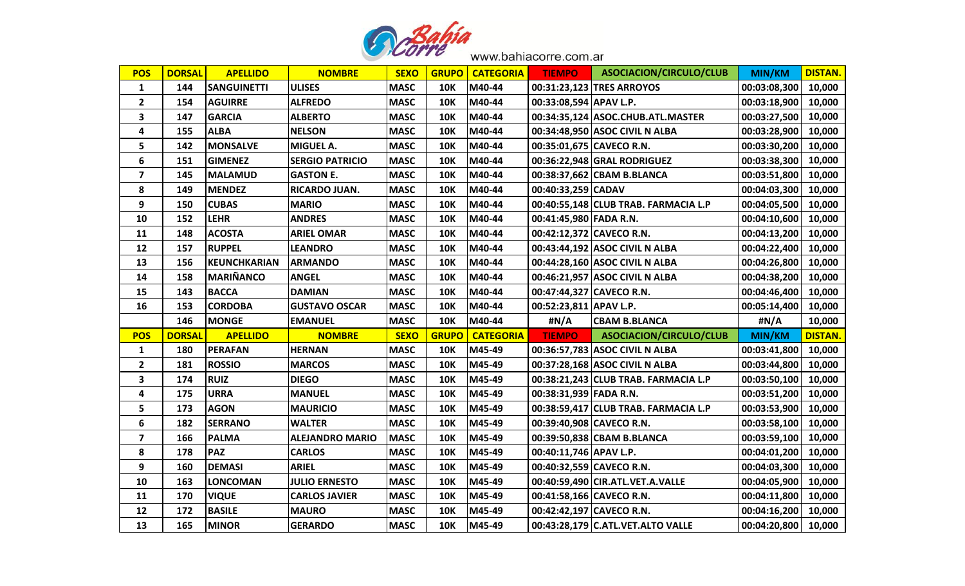

| <b>POS</b>              | <b>DORSAL</b> | <b>APELLIDO</b>     | <b>NOMBRE</b>          | <b>SEXO</b> |              | <b>GRUPO   CATEGORIA</b> | <b>TIEMPO</b>          | ASOCIACION/CIRCULO/CLUB              | <b>MIN/KM</b>       | <b>DISTAN.</b> |
|-------------------------|---------------|---------------------|------------------------|-------------|--------------|--------------------------|------------------------|--------------------------------------|---------------------|----------------|
| $\mathbf{1}$            | 144           | <b>SANGUINETTI</b>  | <b>ULISES</b>          | <b>MASC</b> | <b>10K</b>   | M40-44                   |                        | 00:31:23,123 TRES ARROYOS            | 00:03:08,300        | 10,000         |
| $\mathbf{2}$            | 154           | <b>AGUIRRE</b>      | <b>ALFREDO</b>         | <b>MASC</b> | <b>10K</b>   | M40-44                   | 00:33:08,594 APAV L.P. |                                      | 00:03:18,900        | 10,000         |
| 3                       | 147           | <b>GARCIA</b>       | <b>ALBERTO</b>         | <b>MASC</b> | <b>10K</b>   | M40-44                   |                        | 00:34:35,124 ASOC.CHUB.ATL.MASTER    | 00:03:27,500        | 10,000         |
| 4                       | 155           | <b>ALBA</b>         | <b>NELSON</b>          | <b>MASC</b> | <b>10K</b>   | M40-44                   |                        | 00:34:48,950 ASOC CIVIL N ALBA       | 00:03:28,900        | 10,000         |
| 5                       | 142           | <b>MONSALVE</b>     | <b>MIGUEL A.</b>       | <b>MASC</b> | <b>10K</b>   | M40-44                   |                        | 00:35:01,675 CAVECO R.N.             | 00:03:30,200        | 10,000         |
| $\bf 6$                 | 151           | <b>GIMENEZ</b>      | <b>SERGIO PATRICIO</b> | <b>MASC</b> | <b>10K</b>   | M40-44                   |                        | 00:36:22,948 GRAL RODRIGUEZ          | 00:03:38,300        | 10,000         |
| $\overline{\mathbf{z}}$ | 145           | <b>MALAMUD</b>      | <b>GASTON E.</b>       | <b>MASC</b> | <b>10K</b>   | M40-44                   |                        | 00:38:37,662 CBAM B.BLANCA           | 00:03:51,800        | 10,000         |
| 8                       | 149           | <b>MENDEZ</b>       | <b>RICARDO JUAN.</b>   | <b>MASC</b> | <b>10K</b>   | M40-44                   | 00:40:33,259 CADAV     |                                      | 00:04:03,300        | 10,000         |
| 9                       | 150           | <b>CUBAS</b>        | <b>MARIO</b>           | <b>MASC</b> | <b>10K</b>   | M40-44                   |                        | 00:40:55,148 CLUB TRAB. FARMACIA L.P | 00:04:05,500        | 10,000         |
| 10                      | 152           | <b>LEHR</b>         | <b>ANDRES</b>          | <b>MASC</b> | <b>10K</b>   | M40-44                   | 00:41:45,980 FADA R.N. |                                      | 00:04:10,600        | 10,000         |
| 11                      | 148           | <b>ACOSTA</b>       | <b>ARIEL OMAR</b>      | <b>MASC</b> | <b>10K</b>   | M40-44                   |                        | 00:42:12,372 CAVECO R.N.             | 00:04:13,200        | 10,000         |
| 12                      | 157           | <b>RUPPEL</b>       | <b>LEANDRO</b>         | <b>MASC</b> | 10K          | M40-44                   |                        | 00:43:44,192 ASOC CIVIL N ALBA       | 00:04:22,400        | 10,000         |
| 13                      | 156           | <b>KEUNCHKARIAN</b> | <b>ARMANDO</b>         | <b>MASC</b> | <b>10K</b>   | M40-44                   |                        | 00:44:28,160 ASOC CIVIL N ALBA       | 00:04:26,800        | 10,000         |
| 14                      | 158           | <b>MARIÑANCO</b>    | <b>ANGEL</b>           | <b>MASC</b> | <b>10K</b>   | M40-44                   |                        | 00:46:21,957 ASOC CIVIL N ALBA       | 00:04:38,200        | 10,000         |
| 15                      | 143           | <b>BACCA</b>        | <b>DAMIAN</b>          | <b>MASC</b> | <b>10K</b>   | M40-44                   |                        | 00:47:44,327 CAVECO R.N.             | 00:04:46,400        | 10,000         |
| 16                      | 153           | <b>CORDOBA</b>      | <b>GUSTAVO OSCAR</b>   | <b>MASC</b> | <b>10K</b>   | M40-44                   | 00:52:23,811 APAV L.P. |                                      | 00:05:14,400        | 10,000         |
|                         | 146           | <b>MONGE</b>        | <b>EMANUEL</b>         | <b>MASC</b> | <b>10K</b>   | M40-44                   | #N/A                   | <b>CBAM B.BLANCA</b>                 | #N/A                | 10,000         |
| <b>POS</b>              | <b>DORSAL</b> | <b>APELLIDO</b>     | <b>NOMBRE</b>          | <b>SEXO</b> | <b>GRUPO</b> | <b>CATEGORIA</b>         | <b>TIEMPO</b>          | ASOCIACION/CIRCULO/CLUB              | MIN/KM              | <b>DISTAN.</b> |
| $\mathbf{1}$            | 180           | <b>PERAFAN</b>      | <b>HERNAN</b>          | <b>MASC</b> | <b>10K</b>   | M45-49                   |                        | 00:36:57,783 ASOC CIVIL N ALBA       | 00:03:41,800        | 10,000         |
| $\mathbf{2}$            | 181           | <b>ROSSIO</b>       | <b>MARCOS</b>          | <b>MASC</b> | <b>10K</b>   | M45-49                   |                        | 00:37:28,168 ASOC CIVIL N ALBA       | 00:03:44,800        | 10,000         |
| 3                       | 174           | <b>RUIZ</b>         | <b>DIEGO</b>           | <b>MASC</b> | <b>10K</b>   | M45-49                   |                        | 00:38:21,243 CLUB TRAB. FARMACIA L.P | 00:03:50,100        | 10,000         |
| 4                       | 175           | <b>URRA</b>         | <b>MANUEL</b>          | <b>MASC</b> | <b>10K</b>   | M45-49                   | 00:38:31,939 FADA R.N. |                                      | 00:03:51,200        | 10,000         |
| 5                       | 173           | <b>AGON</b>         | <b>MAURICIO</b>        | <b>MASC</b> | <b>10K</b>   | M45-49                   |                        | 00:38:59,417 CLUB TRAB. FARMACIA L.P | 00:03:53,900        | 10,000         |
| 6                       | 182           | <b>SERRANO</b>      | <b>WALTER</b>          | <b>MASC</b> | <b>10K</b>   | M45-49                   |                        | 00:39:40,908 CAVECO R.N.             | 00:03:58,100        | 10,000         |
| $\overline{\mathbf{z}}$ | 166           | <b>PALMA</b>        | <b>ALEJANDRO MARIO</b> | <b>MASC</b> | <b>10K</b>   | M45-49                   |                        | 00:39:50,838 CBAM B.BLANCA           | 00:03:59,100        | 10,000         |
| 8                       | 178           | <b>PAZ</b>          | <b>CARLOS</b>          | <b>MASC</b> | <b>10K</b>   | M45-49                   | 00:40:11,746 APAV L.P. |                                      | 00:04:01,200        | 10,000         |
| 9                       | 160           | <b>DEMASI</b>       | <b>ARIEL</b>           | <b>MASC</b> | <b>10K</b>   | M45-49                   |                        | 00:40:32,559 CAVECO R.N.             | 00:04:03,300        | 10,000         |
| 10                      | 163           | <b>LONCOMAN</b>     | <b>JULIO ERNESTO</b>   | <b>MASC</b> | <b>10K</b>   | M45-49                   |                        | 00:40:59,490 CIR.ATL.VET.A.VALLE     | 00:04:05,900        | 10,000         |
| 11                      | 170           | <b>VIQUE</b>        | <b>CARLOS JAVIER</b>   | <b>MASC</b> | <b>10K</b>   | M45-49                   |                        | 00:41:58,166 CAVECO R.N.             | 00:04:11,800        | 10,000         |
| 12                      | 172           | <b>BASILE</b>       | <b>MAURO</b>           | <b>MASC</b> | 10K          | M45-49                   |                        | 00:42:42,197 CAVECO R.N.             | 00:04:16,200        | 10,000         |
| 13                      | 165           | <b>MINOR</b>        | <b>GERARDO</b>         | <b>MASC</b> | <b>10K</b>   | M45-49                   |                        | 00:43:28,179 C.ATL.VET.ALTO VALLE    | 00:04:20,800 10,000 |                |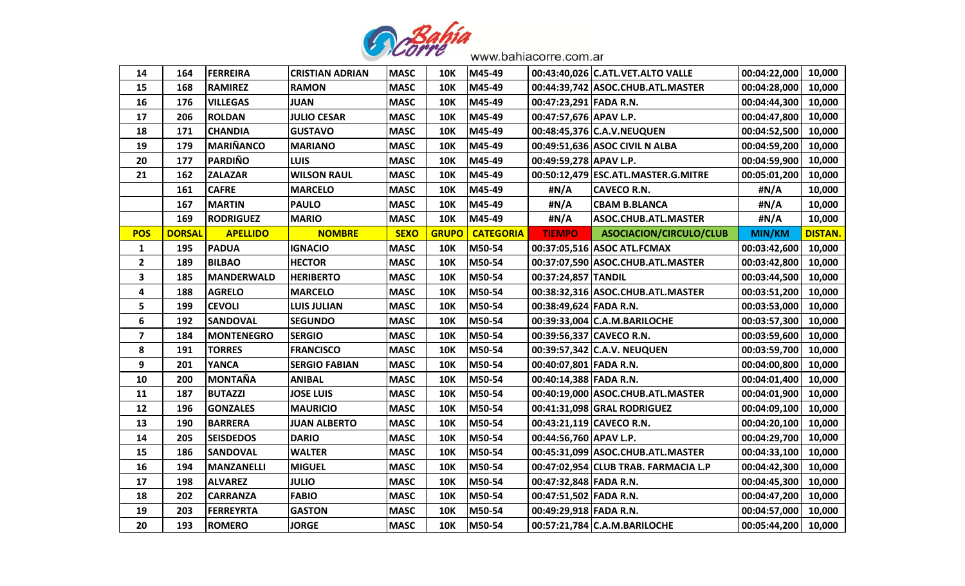

| 14                      | 164           | <b>FERREIRA</b>   | <b>CRISTIAN ADRIAN</b> | <b>MASC</b> | 10K          | M45-49           |                          | 00:43:40,026 C.ATL.VET.ALTO VALLE    | 00:04:22,000   10,000 |                |
|-------------------------|---------------|-------------------|------------------------|-------------|--------------|------------------|--------------------------|--------------------------------------|-----------------------|----------------|
| 15                      | 168           | <b>RAMIREZ</b>    | <b>RAMON</b>           | <b>MASC</b> | <b>10K</b>   | M45-49           |                          | 00:44:39,742 ASOC.CHUB.ATL.MASTER    | 00:04:28,000          | 10,000         |
| 16                      | 176           | <b>VILLEGAS</b>   | <b>JUAN</b>            | <b>MASC</b> | <b>10K</b>   | M45-49           | 00:47:23,291 FADA R.N.   |                                      | 00:04:44,300          | 10,000         |
| 17                      | 206           | <b>ROLDAN</b>     | <b>JULIO CESAR</b>     | <b>MASC</b> | <b>10K</b>   | M45-49           | 00:47:57,676 APAV L.P.   |                                      | 00:04:47,800          | 10,000         |
| 18                      | 171           | <b>CHANDIA</b>    | <b>GUSTAVO</b>         | <b>MASC</b> | <b>10K</b>   | M45-49           |                          | 00:48:45,376 C.A.V.NEUQUEN           | 00:04:52,500          | 10,000         |
| 19                      | 179           | MARIÑANCO         | <b>MARIANO</b>         | <b>MASC</b> | <b>10K</b>   | M45-49           |                          | 00:49:51,636 ASOC CIVIL N ALBA       | 00:04:59,200          | 10,000         |
| 20                      | 177           | <b>PARDIÑO</b>    | <b>LUIS</b>            | <b>MASC</b> | <b>10K</b>   | M45-49           | 00:49:59,278 APAV L.P.   |                                      | 00:04:59,900          | 10,000         |
| 21                      | 162           | <b>ZALAZAR</b>    | <b>WILSON RAUL</b>     | <b>MASC</b> | <b>10K</b>   | M45-49           |                          | 00:50:12,479 ESC.ATL.MASTER.G.MITRE  | 00:05:01,200          | 10,000         |
|                         | 161           | <b>CAFRE</b>      | <b>MARCELO</b>         | <b>MASC</b> | <b>10K</b>   | M45-49           | #N/A                     | <b>CAVECO R.N.</b>                   | #N/A                  | 10,000         |
|                         | 167           | <b>MARTIN</b>     | <b>PAULO</b>           | <b>MASC</b> | <b>10K</b>   | M45-49           | #N/A                     | <b>CBAM B.BLANCA</b>                 | #N/A                  | 10,000         |
|                         | 169           | <b>RODRIGUEZ</b>  | <b>MARIO</b>           | <b>MASC</b> | <b>10K</b>   | M45-49           | #N/A                     | ASOC.CHUB.ATL.MASTER                 | #N/A                  | 10,000         |
| <b>POS</b>              | <b>DORSAL</b> | <b>APELLIDO</b>   | <b>NOMBRE</b>          | <b>SEXO</b> | <b>GRUPO</b> | <b>CATEGORIA</b> | <b>TIEMPO</b>            | ASOCIACION/CIRCULO/CLUB              | <b>MIN/KM</b>         | <b>DISTAN.</b> |
| 1                       | 195           | <b>PADUA</b>      | <b>IGNACIO</b>         | <b>MASC</b> | <b>10K</b>   | M50-54           |                          | 00:37:05,516 ASOC ATL.FCMAX          | 00:03:42,600          | 10,000         |
| $\overline{2}$          | 189           | <b>BILBAO</b>     | <b>HECTOR</b>          | <b>MASC</b> | <b>10K</b>   | M50-54           |                          | 00:37:07,590 ASOC.CHUB.ATL.MASTER    | 00:03:42,800          | 10,000         |
| $\overline{\mathbf{3}}$ | 185           | <b>MANDERWALD</b> | <b>HERIBERTO</b>       | <b>MASC</b> | <b>10K</b>   | M50-54           | 00:37:24,857 TANDIL      |                                      | 00:03:44,500          | 10,000         |
| 4                       | 188           | <b>AGRELO</b>     | <b>MARCELO</b>         | <b>MASC</b> | <b>10K</b>   | M50-54           |                          | 00:38:32,316 ASOC.CHUB.ATL.MASTER    | 00:03:51,200 10,000   |                |
| 5                       | 199           | <b>CEVOLI</b>     | <b>LUIS JULIAN</b>     | <b>MASC</b> | <b>10K</b>   | M50-54           | 00:38:49,624 FADA R.N.   |                                      | 00:03:53,000          | 10,000         |
| 6                       | 192           | <b>SANDOVAL</b>   | <b>SEGUNDO</b>         | <b>MASC</b> | <b>10K</b>   | M50-54           |                          | 00:39:33,004 C.A.M.BARILOCHE         | 00:03:57,300          | 10,000         |
| $\overline{\mathbf{z}}$ | 184           | <b>MONTENEGRO</b> | <b>SERGIO</b>          | <b>MASC</b> | <b>10K</b>   | M50-54           | 00:39:56,337 CAVECO R.N. |                                      | 00:03:59,600   10,000 |                |
| 8                       | 191           | <b>TORRES</b>     | <b>FRANCISCO</b>       | <b>MASC</b> | <b>10K</b>   | M50-54           |                          | 00:39:57,342 C.A.V. NEUQUEN          | 00:03:59,700          | 10,000         |
| 9                       | 201           | <b>YANCA</b>      | <b>SERGIO FABIAN</b>   | <b>MASC</b> | <b>10K</b>   | M50-54           | 00:40:07,801 FADA R.N.   |                                      | 00:04:00,800          | 10,000         |
| 10                      | 200           | <b>MONTAÑA</b>    | <b>ANIBAL</b>          | <b>MASC</b> | <b>10K</b>   | M50-54           | 00:40:14,388 FADA R.N.   |                                      | 00:04:01,400   10,000 |                |
| 11                      | 187           | <b>BUTAZZI</b>    | <b>JOSE LUIS</b>       | <b>MASC</b> | <b>10K</b>   | M50-54           |                          | 00:40:19,000 ASOC.CHUB.ATL.MASTER    | 00:04:01,900 10,000   |                |
| 12                      | 196           | <b>GONZALES</b>   | <b>MAURICIO</b>        | <b>MASC</b> | <b>10K</b>   | M50-54           |                          | 00:41:31,098 GRAL RODRIGUEZ          | 00:04:09,100          | 10,000         |
| 13                      | 190           | <b>BARRERA</b>    | <b>JUAN ALBERTO</b>    | <b>MASC</b> | <b>10K</b>   | M50-54           |                          | 00:43:21,119 CAVECO R.N.             | 00:04:20,100   10,000 |                |
| 14                      | 205           | <b>SEISDEDOS</b>  | <b>DARIO</b>           | <b>MASC</b> | <b>10K</b>   | M50-54           | 00:44:56,760 APAV L.P.   |                                      | 00:04:29,700          | 10,000         |
| 15                      | 186           | <b>SANDOVAL</b>   | <b>WALTER</b>          | <b>MASC</b> | <b>10K</b>   | M50-54           |                          | 00:45:31,099 ASOC.CHUB.ATL.MASTER    | 00:04:33,100          | 10,000         |
| 16                      | 194           | <b>MANZANELLI</b> | <b>MIGUEL</b>          | <b>MASC</b> | <b>10K</b>   | M50-54           |                          | 00:47:02,954 CLUB TRAB. FARMACIA L.P | 00:04:42,300          | 10,000         |
| 17                      | 198           | <b>ALVAREZ</b>    | <b>JULIO</b>           | <b>MASC</b> | <b>10K</b>   | M50-54           | 00:47:32,848 FADA R.N.   |                                      | 00:04:45,300          | 10,000         |
| 18                      | 202           | <b>CARRANZA</b>   | <b>FABIO</b>           | <b>MASC</b> | <b>10K</b>   | M50-54           | 00:47:51,502 FADA R.N.   |                                      | 00:04:47,200          | 10,000         |
| 19                      | 203           | <b>FERREYRTA</b>  | <b>GASTON</b>          | <b>MASC</b> | <b>10K</b>   | M50-54           | 00:49:29,918 FADA R.N.   |                                      | 00:04:57,000   10,000 |                |
| 20                      | 193           | <b>ROMERO</b>     | <b>JORGE</b>           | <b>MASC</b> | <b>10K</b>   | M50-54           |                          | 00:57:21,784 C.A.M.BARILOCHE         | 00:05:44,200 10,000   |                |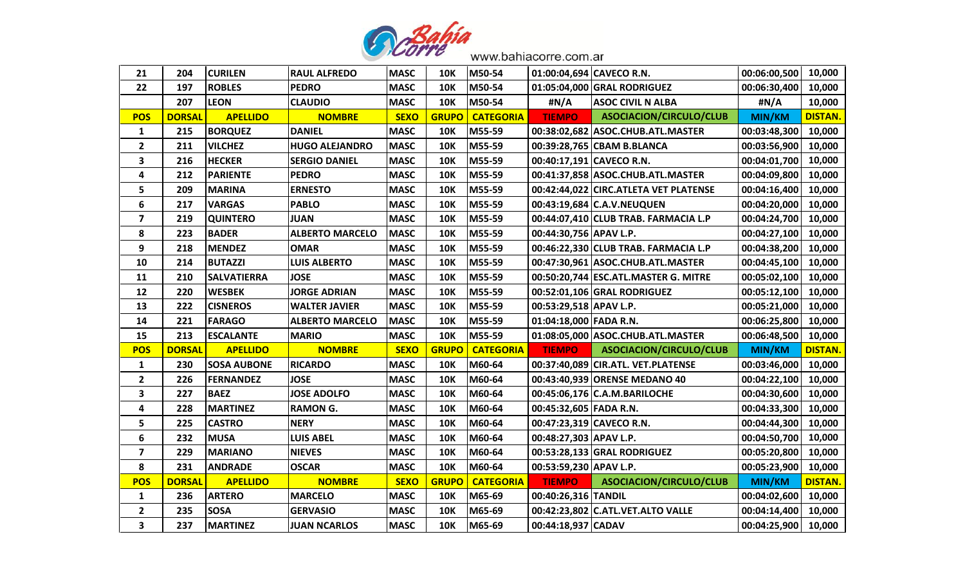

| 21                      | 204           | <b>CURILEN</b>     | <b>RAUL ALFREDO</b>    | <b>MASC</b> | <b>10K</b>   | M50-54           | 01:00:04,694 CAVECO R.N. |                                       | 00:06:00,500        | 10,000         |
|-------------------------|---------------|--------------------|------------------------|-------------|--------------|------------------|--------------------------|---------------------------------------|---------------------|----------------|
| 22                      | 197           | <b>ROBLES</b>      | <b>PEDRO</b>           | <b>MASC</b> | <b>10K</b>   | M50-54           |                          | 01:05:04,000 GRAL RODRIGUEZ           | 00:06:30,400        | 10,000         |
|                         | 207           | <b>LEON</b>        | <b>CLAUDIO</b>         | <b>MASC</b> | <b>10K</b>   | M50-54           | #N/A                     | <b>ASOC CIVIL N ALBA</b>              | #N/A                | 10,000         |
| <b>POS</b>              | <b>DORSAL</b> | <b>APELLIDO</b>    | <b>NOMBRE</b>          | <b>SEXO</b> | <b>GRUPO</b> | <b>CATEGORIA</b> | <b>TIEMPO</b>            | ASOCIACION/CIRCULO/CLUB               | MIN/KM              | <b>DISTAN.</b> |
| $\mathbf{1}$            | 215           | <b>BORQUEZ</b>     | <b>DANIEL</b>          | <b>MASC</b> | <b>10K</b>   | M55-59           |                          | 00:38:02,682 ASOC.CHUB.ATL.MASTER     | 00:03:48,300        | 10,000         |
| $\mathbf{2}$            | 211           | <b>VILCHEZ</b>     | <b>HUGO ALEJANDRO</b>  | <b>MASC</b> | <b>10K</b>   | M55-59           |                          | 00:39:28,765 CBAM B.BLANCA            | 00:03:56,900        | 10,000         |
| $\overline{\mathbf{3}}$ | 216           | <b>HECKER</b>      | <b>SERGIO DANIEL</b>   | <b>MASC</b> | <b>10K</b>   | M55-59           |                          | 00:40:17,191 CAVECO R.N.              | 00:04:01,700        | 10,000         |
| 4                       | 212           | <b>PARIENTE</b>    | <b>PEDRO</b>           | <b>MASC</b> | <b>10K</b>   | M55-59           |                          | 00:41:37,858 ASOC.CHUB.ATL.MASTER     | 00:04:09,800        | 10,000         |
| 5                       | 209           | <b>MARINA</b>      | <b>ERNESTO</b>         | <b>MASC</b> | <b>10K</b>   | M55-59           |                          | 00:42:44,022 CIRC.ATLETA VET PLATENSE | 00:04:16,400        | 10,000         |
| 6                       | 217           | <b>VARGAS</b>      | <b>PABLO</b>           | <b>MASC</b> | <b>10K</b>   | M55-59           |                          | 00:43:19,684 C.A.V.NEUQUEN            | 00:04:20,000        | 10,000         |
| $\overline{\mathbf{z}}$ | 219           | <b>QUINTERO</b>    | <b>JUAN</b>            | <b>MASC</b> | <b>10K</b>   | M55-59           |                          | 00:44:07,410 CLUB TRAB. FARMACIA L.P  | 00:04:24,700        | 10,000         |
| 8                       | 223           | <b>BADER</b>       | <b>ALBERTO MARCELO</b> | <b>MASC</b> | <b>10K</b>   | M55-59           | 00:44:30,756 APAV L.P.   |                                       | 00:04:27,100        | 10,000         |
| 9                       | 218           | <b>MENDEZ</b>      | <b>OMAR</b>            | <b>MASC</b> | <b>10K</b>   | M55-59           |                          | 00:46:22,330 CLUB TRAB. FARMACIA L.P  | 00:04:38,200        | 10,000         |
| 10                      | 214           | <b>BUTAZZI</b>     | <b>LUIS ALBERTO</b>    | <b>MASC</b> | <b>10K</b>   | M55-59           |                          | 00:47:30,961 ASOC.CHUB.ATL.MASTER     | 00:04:45,100        | 10,000         |
| 11                      | 210           | <b>SALVATIERRA</b> | <b>JOSE</b>            | <b>MASC</b> | <b>10K</b>   | M55-59           |                          | 00:50:20,744 ESC.ATL.MASTER G. MITRE  | 00:05:02,100        | 10,000         |
| 12                      | 220           | <b>WESBEK</b>      | <b>JORGE ADRIAN</b>    | <b>MASC</b> | <b>10K</b>   | M55-59           |                          | 00:52:01,106 GRAL RODRIGUEZ           | 00:05:12,100        | 10,000         |
| 13                      | 222           | <b>CISNEROS</b>    | <b>WALTER JAVIER</b>   | <b>MASC</b> | <b>10K</b>   | M55-59           | 00:53:29,518 APAV L.P.   |                                       | 00:05:21,000        | 10,000         |
| 14                      | 221           | <b>FARAGO</b>      | <b>ALBERTO MARCELO</b> | <b>MASC</b> | <b>10K</b>   | M55-59           | 01:04:18,000 FADA R.N.   |                                       | 00:06:25,800        | 10,000         |
| 15                      | 213           | <b>ESCALANTE</b>   | <b>MARIO</b>           | <b>MASC</b> | <b>10K</b>   | M55-59           |                          | 01:08:05,000 ASOC.CHUB.ATL.MASTER     | 00:06:48,500        | 10,000         |
| <b>POS</b>              | <b>DORSAL</b> | <b>APELLIDO</b>    | <b>NOMBRE</b>          | <b>SEXO</b> | <b>GRUPO</b> | <b>CATEGORIA</b> | <b>TIEMPO</b>            | ASOCIACION/CIRCULO/CLUB               | MIN/KM              | <b>DISTAN.</b> |
| 1                       | 230           | <b>SOSA AUBONE</b> | <b>RICARDO</b>         | <b>MASC</b> | <b>10K</b>   | M60-64           |                          | 00:37:40,089 CIR.ATL. VET.PLATENSE    | 00:03:46,000        | 10,000         |
| $\mathbf{2}$            | 226           | <b>FERNANDEZ</b>   | <b>JOSE</b>            | <b>MASC</b> | <b>10K</b>   | M60-64           |                          | 00:43:40,939 ORENSE MEDANO 40         | 00:04:22,100        | 10,000         |
| $\mathbf{3}$            | 227           | <b>BAEZ</b>        | <b>JOSE ADOLFO</b>     | <b>MASC</b> | <b>10K</b>   | M60-64           |                          | 00:45:06,176 C.A.M.BARILOCHE          | 00:04:30,600        | 10,000         |
| 4                       | 228           | <b>MARTINEZ</b>    | <b>RAMON G.</b>        | <b>MASC</b> | <b>10K</b>   | M60-64           | 00:45:32,605 FADA R.N.   |                                       | 00:04:33,300        | 10,000         |
| 5                       | 225           | <b>CASTRO</b>      | <b>NERY</b>            | <b>MASC</b> | <b>10K</b>   | M60-64           |                          | 00:47:23,319 CAVECO R.N.              | 00:04:44,300        | 10,000         |
| 6                       | 232           | <b>MUSA</b>        | <b>LUIS ABEL</b>       | <b>MASC</b> | <b>10K</b>   | M60-64           | 00:48:27,303 APAV L.P.   |                                       | 00:04:50,700        | 10,000         |
| $\overline{\mathbf{z}}$ | 229           | <b>MARIANO</b>     | <b>NIEVES</b>          | <b>MASC</b> | <b>10K</b>   | M60-64           |                          | 00:53:28,133 GRAL RODRIGUEZ           | 00:05:20,800        | 10,000         |
| 8                       | 231           | <b>ANDRADE</b>     | <b>OSCAR</b>           | <b>MASC</b> | <b>10K</b>   | M60-64           | 00:53:59,230 APAV L.P.   |                                       | 00:05:23,900        | 10,000         |
| <b>POS</b>              | <b>DORSAL</b> | <b>APELLIDO</b>    | <b>NOMBRE</b>          | <b>SEXO</b> | <b>GRUPO</b> | <b>CATEGORIA</b> | <b>TIEMPO</b>            | ASOCIACION/CIRCULO/CLUB               | MIN/KM              | <b>DISTAN.</b> |
| 1                       | 236           | <b>ARTERO</b>      | <b>MARCELO</b>         | <b>MASC</b> | <b>10K</b>   | M65-69           | 00:40:26,316 TANDIL      |                                       | 00:04:02,600        | 10,000         |
| $\mathbf{2}$            | 235           | <b>SOSA</b>        | <b>GERVASIO</b>        | <b>MASC</b> | <b>10K</b>   | M65-69           |                          | 00:42:23,802 C.ATL.VET.ALTO VALLE     | 00:04:14,400        | 10,000         |
| $\overline{\mathbf{3}}$ | 237           | <b>MARTINEZ</b>    | <b>JUAN NCARLOS</b>    | <b>MASC</b> | <b>10K</b>   | M65-69           | 00:44:18,937 CADAV       |                                       | 00:04:25,900 10,000 |                |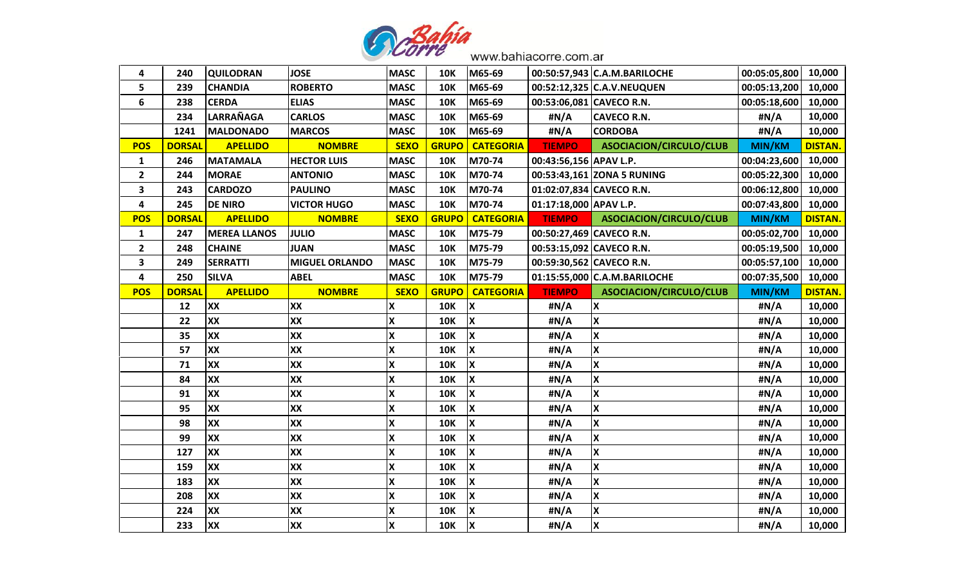

| 4                       | 240           | <b>QUILODRAN</b>    | <b>JOSE</b>           | <b>MASC</b>             | <b>10K</b>   | M65-69                    |                          | 00:50:57,943 C.A.M.BARILOCHE   | 00:05:05,800  | 10,000         |
|-------------------------|---------------|---------------------|-----------------------|-------------------------|--------------|---------------------------|--------------------------|--------------------------------|---------------|----------------|
| 5                       | 239           | <b>CHANDIA</b>      | <b>ROBERTO</b>        | <b>MASC</b>             | <b>10K</b>   | M65-69                    |                          | 00:52:12,325 C.A.V.NEUQUEN     | 00:05:13,200  | 10,000         |
| 6                       | 238           | <b>CERDA</b>        | <b>ELIAS</b>          | <b>MASC</b>             | <b>10K</b>   | M65-69                    | 00:53:06,081 CAVECO R.N. |                                | 00:05:18,600  | 10,000         |
|                         | 234           | LARRAÑAGA           | <b>CARLOS</b>         | <b>MASC</b>             | <b>10K</b>   | M65-69                    | #N/A                     | <b>CAVECO R.N.</b>             | #N/A          | 10,000         |
|                         | 1241          | <b>MALDONADO</b>    | <b>MARCOS</b>         | <b>MASC</b>             | <b>10K</b>   | M65-69                    | #N/A                     | <b>CORDOBA</b>                 | #N/A          | 10,000         |
| <b>POS</b>              | <b>DORSAL</b> | <b>APELLIDO</b>     | <b>NOMBRE</b>         | <b>SEXO</b>             | <b>GRUPO</b> | <b>CATEGORIA</b>          | <b>TIEMPO</b>            | ASOCIACION/CIRCULO/CLUB        | MIN/KM        | <b>DISTAN.</b> |
| $\mathbf{1}$            | 246           | <b>MATAMALA</b>     | <b>HECTOR LUIS</b>    | <b>MASC</b>             | <b>10K</b>   | M70-74                    | 00:43:56,156 APAV L.P.   |                                | 00:04:23,600  | 10,000         |
| $\overline{2}$          | 244           | <b>MORAE</b>        | <b>ANTONIO</b>        | <b>MASC</b>             | <b>10K</b>   | M70-74                    |                          | 00:53:43,161 ZONA 5 RUNING     | 00:05:22,300  | 10,000         |
| 3                       | 243           | <b>CARDOZO</b>      | <b>PAULINO</b>        | <b>MASC</b>             | <b>10K</b>   | M70-74                    | 01:02:07,834 CAVECO R.N. |                                | 00:06:12,800  | 10,000         |
| $\overline{\mathbf{4}}$ | 245           | <b>DE NIRO</b>      | <b>VICTOR HUGO</b>    | <b>MASC</b>             | <b>10K</b>   | M70-74                    | 01:17:18,000 APAV L.P.   |                                | 00:07:43,800  | 10,000         |
| <b>POS</b>              | <b>DORSAL</b> | <b>APELLIDO</b>     | <b>NOMBRE</b>         | <b>SEXO</b>             | <b>GRUPO</b> | <b>CATEGORIA</b>          | <b>TIEMPO</b>            | <b>ASOCIACION/CIRCULO/CLUB</b> | MIN/KM        | <b>DISTAN.</b> |
| $\mathbf{1}$            | 247           | <b>MEREA LLANOS</b> | <b>JULIO</b>          | <b>MASC</b>             | <b>10K</b>   | M75-79                    | 00:50:27,469 CAVECO R.N. |                                | 00:05:02,700  | 10,000         |
| $\mathbf{2}$            | 248           | <b>CHAINE</b>       | <b>JUAN</b>           | <b>MASC</b>             | <b>10K</b>   | M75-79                    | 00:53:15,092 CAVECO R.N. |                                | 00:05:19,500  | 10,000         |
| $\overline{\mathbf{3}}$ | 249           | <b>SERRATTI</b>     | <b>MIGUEL ORLANDO</b> | <b>MASC</b>             | <b>10K</b>   | M75-79                    | 00:59:30,562 CAVECO R.N. |                                | 00:05:57,100  | 10,000         |
| 4                       | 250           | <b>SILVA</b>        | <b>ABEL</b>           | <b>MASC</b>             | <b>10K</b>   | M75-79                    |                          | 01:15:55,000 C.A.M.BARILOCHE   | 00:07:35,500  | 10,000         |
| <b>POS</b>              | <b>DORSAL</b> | <b>APELLIDO</b>     | <b>NOMBRE</b>         | <b>SEXO</b>             | <b>GRUPO</b> | <b>CATEGORIA</b>          | <b>TIEMPO</b>            | ASOCIACION/CIRCULO/CLUB        | <b>MIN/KM</b> | <b>DISTAN.</b> |
|                         | 12            | XX                  | XX                    | X                       | <b>10K</b>   | $\pmb{\mathsf{X}}$        | #N/A                     | X                              | #N/A          | 10,000         |
|                         | 22            | XX                  | XX                    | X                       | <b>10K</b>   | $\mathbf x$               | #N/A                     | X                              | #N/A          | 10,000         |
|                         |               |                     |                       |                         |              |                           |                          |                                |               |                |
|                         | 35            | XX                  | XX                    | X                       | <b>10K</b>   | $\pmb{\mathsf{X}}$        | #N/A                     | X                              | #N/A          | 10,000         |
|                         | 57            | XX                  | XX                    | X                       | <b>10K</b>   | $\boldsymbol{\mathsf{x}}$ | #N/A                     | $\overline{\mathbf{x}}$        | #N/A          | 10,000         |
|                         | 71            | XX                  | XX                    | X                       | <b>10K</b>   | $\boldsymbol{\mathsf{X}}$ | #N/A                     | X                              | #N/A          | 10,000         |
|                         | 84            | XX                  | XX                    | X                       | <b>10K</b>   | $\pmb{\mathsf{X}}$        | #N/A                     | X                              | #N/A          | 10,000         |
|                         | 91            | XX                  | XX                    | $\mathsf{\overline{X}}$ | <b>10K</b>   | $\boldsymbol{\mathsf{X}}$ | #N/A                     | $\overline{\mathbf{x}}$        | #N/A          | 10,000         |
|                         | 95            | XX                  | XX                    | X                       | <b>10K</b>   | $\boldsymbol{\mathsf{X}}$ | #N/A                     | X                              | #N/A          | 10,000         |
|                         | 98            | XX                  | XX                    | X                       | <b>10K</b>   | $\pmb{\mathsf{X}}$        | #N/A                     | X                              | #N/A          | 10,000         |
|                         | 99            | XX                  | XX                    | X                       | <b>10K</b>   | $\overline{\mathbf{x}}$   | #N/A                     | $\overline{\mathbf{x}}$        | #N/A          | 10,000         |
|                         | 127           | XX                  | XX                    | X                       | <b>10K</b>   | $\boldsymbol{\mathsf{X}}$ | #N/A                     | X                              | #N/A          | 10,000         |
|                         | 159           | XX                  | XX                    | X                       | <b>10K</b>   | $\pmb{\mathsf{X}}$        | #N/A                     | X                              | #N/A          | 10,000         |
|                         | 183           | XX                  | XX                    | X                       | <b>10K</b>   | $\boldsymbol{\mathsf{x}}$ | #N/A                     | $\overline{\mathbf{x}}$        | #N/A          | 10,000         |
|                         | 208           | XX                  | XX                    | X                       | <b>10K</b>   | $\mathsf{\overline{X}}$   | #N/A                     | $\boldsymbol{\mathsf{X}}$      | #N/A          | 10,000         |
|                         | 224           | XX                  | XX                    | X                       | <b>10K</b>   | $\pmb{\mathsf{X}}$        | #N/A                     | X                              | #N/A          | 10,000         |